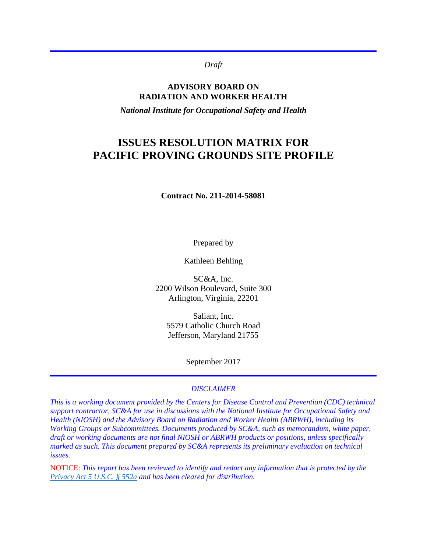*Draft*

### **ADVISORY BOARD ON RADIATION AND WORKER HEALTH**

*National Institute for Occupational Safety and Health*

# **ISSUES RESOLUTION MATRIX FOR PACIFIC PROVING GROUNDS SITE PROFILE**

**Contract No. 211-2014-58081** 

Prepared by

Kathleen Behling

SC&A, Inc. 2200 Wilson Boulevard, Suite 300 Arlington, Virginia, 22201

Saliant, Inc. 5579 Catholic Church Road Jefferson, Maryland 21755

September 2017

#### *DISCLAIMER*

*This is a working document provided by the Centers for Disease Control and Prevention (CDC) technical support contractor, SC&A for use in discussions with the National Institute for Occupational Safety and Health (NIOSH) and the Advisory Board on Radiation and Worker Health (ABRWH), including its Working Groups or Subcommittees. Documents produced by SC&A, such as memorandum, white paper, draft or working documents are not final NIOSH or ABRWH products or positions, unless specifically marked as such. This document prepared by SC&A represents its preliminary evaluation on technical issues.*

NOTICE: *This report has been reviewed to identify and redact any information that is protected by the [Privacy Act 5 U.S.C. § 552a](http://www.justice.gov/opcl/privacy-act-1974) and has been cleared for distribution.*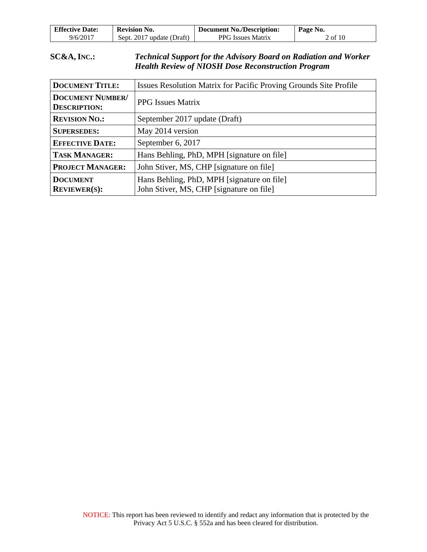| <b>Effective Date:</b> | <b>Revision No.</b>       | <b>Document No./Description:</b> | Page No. |
|------------------------|---------------------------|----------------------------------|----------|
| 9/6/2017               | Sept. 2017 update (Draft) | <b>PPG</b> Issues Matrix         | 2 of 10  |

## **SC&A, INC.:** *Technical Support for the Advisory Board on Radiation and Worker Health Review of NIOSH Dose Reconstruction Program*

| <b>DOCUMENT TITLE:</b>                         | Issues Resolution Matrix for Pacific Proving Grounds Site Profile                      |
|------------------------------------------------|----------------------------------------------------------------------------------------|
| <b>DOCUMENT NUMBER/</b><br><b>DESCRIPTION:</b> | <b>PPG</b> Issues Matrix                                                               |
| <b>REVISION NO.:</b>                           | September 2017 update (Draft)                                                          |
| <b>SUPERSEDES:</b>                             | May 2014 version                                                                       |
| <b>EFFECTIVE DATE:</b>                         | September 6, 2017                                                                      |
| <b>TASK MANAGER:</b>                           | Hans Behling, PhD, MPH [signature on file]                                             |
| <b>PROJECT MANAGER:</b>                        | John Stiver, MS, CHP [signature on file]                                               |
| <b>DOCUMENT</b><br><b>REVIEWER(S):</b>         | Hans Behling, PhD, MPH [signature on file]<br>John Stiver, MS, CHP [signature on file] |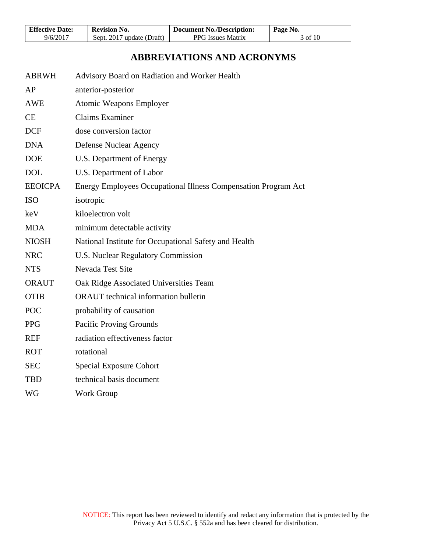| <b>Effective Date:</b> | Revision No.              | <b>Document No./Description:</b> | Page No. |
|------------------------|---------------------------|----------------------------------|----------|
| 9/6/2017               | Sept. 2017 update (Draft) | <b>PPG</b> Issues Matrix         | 3 of 10  |

# **ABBREVIATIONS AND ACRONYMS**

| <b>ABRWH</b>   | Advisory Board on Radiation and Worker Health                  |
|----------------|----------------------------------------------------------------|
| AP             | anterior-posterior                                             |
| <b>AWE</b>     | <b>Atomic Weapons Employer</b>                                 |
| CE             | <b>Claims Examiner</b>                                         |
| <b>DCF</b>     | dose conversion factor                                         |
| <b>DNA</b>     | Defense Nuclear Agency                                         |
| <b>DOE</b>     | U.S. Department of Energy                                      |
| <b>DOL</b>     | U.S. Department of Labor                                       |
| <b>EEOICPA</b> | Energy Employees Occupational Illness Compensation Program Act |
| <b>ISO</b>     | isotropic                                                      |
| keV            | kiloelectron volt                                              |
| <b>MDA</b>     | minimum detectable activity                                    |
| <b>NIOSH</b>   | National Institute for Occupational Safety and Health          |
| <b>NRC</b>     | <b>U.S. Nuclear Regulatory Commission</b>                      |
| <b>NTS</b>     | Nevada Test Site                                               |
| <b>ORAUT</b>   | Oak Ridge Associated Universities Team                         |
| <b>OTIB</b>    | <b>ORAUT</b> technical information bulletin                    |
| <b>POC</b>     | probability of causation                                       |
| <b>PPG</b>     | <b>Pacific Proving Grounds</b>                                 |
| <b>REF</b>     | radiation effectiveness factor                                 |
| <b>ROT</b>     | rotational                                                     |
| <b>SEC</b>     | <b>Special Exposure Cohort</b>                                 |
| <b>TBD</b>     | technical basis document                                       |
| WG             | <b>Work Group</b>                                              |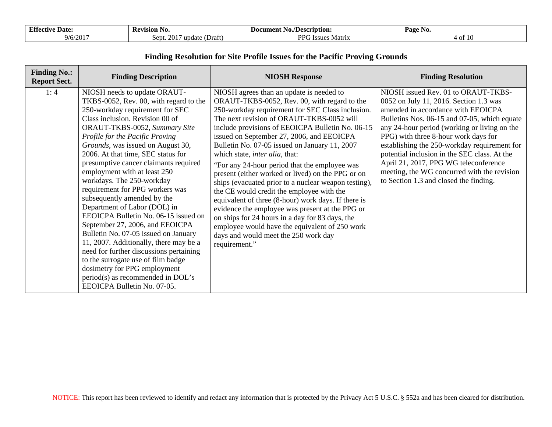| <b>Effectiv</b><br><i>ve</i> Date | <b>Revision No.</b>                   | No./Description:<br>Document | Page<br>INO.<br>ຼ |
|-----------------------------------|---------------------------------------|------------------------------|-------------------|
| 9/6/2017                          | 201'<br>(Draft<br>date<br>Sept.<br>un | DDG<br>Matrix<br>· Issue     | 4 of              |

### **Finding Resolution for Site Profile Issues for the Pacific Proving Grounds**

| <b>Finding No.:</b><br><b>Report Sect.</b> | <b>Finding Description</b>                                                                                                                                                                                                                                                                                                                                                                                                                                                                                                                                                                                                                                                                                                                                                                                                                            | <b>NIOSH Response</b>                                                                                                                                                                                                                                                                                                                                                                                                                                                                                                                                                                                                                                                                                                                                                                                                                                                    | <b>Finding Resolution</b>                                                                                                                                                                                                                                                                                                                                                                                                                                                                     |
|--------------------------------------------|-------------------------------------------------------------------------------------------------------------------------------------------------------------------------------------------------------------------------------------------------------------------------------------------------------------------------------------------------------------------------------------------------------------------------------------------------------------------------------------------------------------------------------------------------------------------------------------------------------------------------------------------------------------------------------------------------------------------------------------------------------------------------------------------------------------------------------------------------------|--------------------------------------------------------------------------------------------------------------------------------------------------------------------------------------------------------------------------------------------------------------------------------------------------------------------------------------------------------------------------------------------------------------------------------------------------------------------------------------------------------------------------------------------------------------------------------------------------------------------------------------------------------------------------------------------------------------------------------------------------------------------------------------------------------------------------------------------------------------------------|-----------------------------------------------------------------------------------------------------------------------------------------------------------------------------------------------------------------------------------------------------------------------------------------------------------------------------------------------------------------------------------------------------------------------------------------------------------------------------------------------|
| 1:4                                        | NIOSH needs to update ORAUT-<br>TKBS-0052, Rev. 00, with regard to the<br>250-workday requirement for SEC<br>Class inclusion. Revision 00 of<br>ORAUT-TKBS-0052, Summary Site<br>Profile for the Pacific Proving<br>Grounds, was issued on August 30,<br>2006. At that time, SEC status for<br>presumptive cancer claimants required<br>employment with at least 250<br>workdays. The 250-workday<br>requirement for PPG workers was<br>subsequently amended by the<br>Department of Labor (DOL) in<br>EEOICPA Bulletin No. 06-15 issued on<br>September 27, 2006, and EEOICPA<br>Bulletin No. 07-05 issued on January<br>11, 2007. Additionally, there may be a<br>need for further discussions pertaining<br>to the surrogate use of film badge<br>dosimetry for PPG employment<br>period(s) as recommended in DOL's<br>EEOICPA Bulletin No. 07-05. | NIOSH agrees than an update is needed to<br>ORAUT-TKBS-0052, Rev. 00, with regard to the<br>250-workday requirement for SEC Class inclusion.<br>The next revision of ORAUT-TKBS-0052 will<br>include provisions of EEOICPA Bulletin No. 06-15<br>issued on September 27, 2006, and EEOICPA<br>Bulletin No. 07-05 issued on January 11, 2007<br>which state, <i>inter alia</i> , that:<br>"For any 24-hour period that the employee was<br>present (either worked or lived) on the PPG or on<br>ships (evacuated prior to a nuclear weapon testing),<br>the CE would credit the employee with the<br>equivalent of three (8-hour) work days. If there is<br>evidence the employee was present at the PPG or<br>on ships for 24 hours in a day for 83 days, the<br>employee would have the equivalent of 250 work<br>days and would meet the 250 work day<br>requirement." | NIOSH issued Rev. 01 to ORAUT-TKBS-<br>0052 on July 11, 2016. Section 1.3 was<br>amended in accordance with EEOICPA<br>Bulletins Nos. 06-15 and 07-05, which equate<br>any 24-hour period (working or living on the<br>PPG) with three 8-hour work days for<br>establishing the 250-workday requirement for<br>potential inclusion in the SEC class. At the<br>April 21, 2017, PPG WG teleconference<br>meeting, the WG concurred with the revision<br>to Section 1.3 and closed the finding. |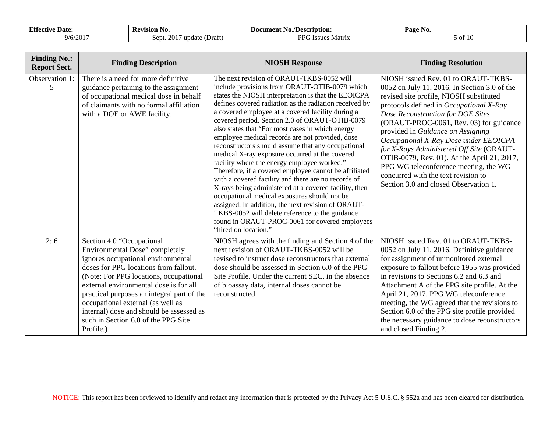| <b>17.64</b><br>Date <sup>.</sup><br>Effectiv | <b>Revision</b><br>NO.                                  | No./Description:<br>Document     | Page No. |
|-----------------------------------------------|---------------------------------------------------------|----------------------------------|----------|
| 10011<br>9/6/20 <sub>1</sub>                  | (Draft<br>Sept.<br>update<br>$\prime\prime$ 1<br>$\sim$ | DDC<br>· Issues<br>Matrix<br>. . | ∂ OI     |

| <b>Finding No.:</b><br><b>Report Sect.</b> | <b>Finding Description</b>                                                                                                                                                                                                                                                                                                                                                                                        | <b>NIOSH Response</b>                                                                                                                                                                                                                                                                                                                                                                                                                                                                                                                                                                                                                                                                                                                                                                                                                                                                                                                                                                        | <b>Finding Resolution</b>                                                                                                                                                                                                                                                                                                                                                                                                                                                                                                                                   |
|--------------------------------------------|-------------------------------------------------------------------------------------------------------------------------------------------------------------------------------------------------------------------------------------------------------------------------------------------------------------------------------------------------------------------------------------------------------------------|----------------------------------------------------------------------------------------------------------------------------------------------------------------------------------------------------------------------------------------------------------------------------------------------------------------------------------------------------------------------------------------------------------------------------------------------------------------------------------------------------------------------------------------------------------------------------------------------------------------------------------------------------------------------------------------------------------------------------------------------------------------------------------------------------------------------------------------------------------------------------------------------------------------------------------------------------------------------------------------------|-------------------------------------------------------------------------------------------------------------------------------------------------------------------------------------------------------------------------------------------------------------------------------------------------------------------------------------------------------------------------------------------------------------------------------------------------------------------------------------------------------------------------------------------------------------|
| Observation 1:<br>5                        | There is a need for more definitive<br>guidance pertaining to the assignment<br>of occupational medical dose in behalf<br>of claimants with no formal affiliation<br>with a DOE or AWE facility.                                                                                                                                                                                                                  | The next revision of ORAUT-TKBS-0052 will<br>include provisions from ORAUT-OTIB-0079 which<br>states the NIOSH interpretation is that the EEOICPA<br>defines covered radiation as the radiation received by<br>a covered employee at a covered facility during a<br>covered period. Section 2.0 of ORAUT-OTIB-0079<br>also states that "For most cases in which energy<br>employee medical records are not provided, dose<br>reconstructors should assume that any occupational<br>medical X-ray exposure occurred at the covered<br>facility where the energy employee worked."<br>Therefore, if a covered employee cannot be affiliated<br>with a covered facility and there are no records of<br>X-rays being administered at a covered facility, then<br>occupational medical exposures should not be<br>assigned. In addition, the next revision of ORAUT-<br>TKBS-0052 will delete reference to the guidance<br>found in ORAUT-PROC-0061 for covered employees<br>"hired on location." | NIOSH issued Rev. 01 to ORAUT-TKBS-<br>0052 on July 11, 2016. In Section 3.0 of the<br>revised site profile, NIOSH substituted<br>protocols defined in Occupational X-Ray<br>Dose Reconstruction for DOE Sites<br>(ORAUT-PROC-0061, Rev. 03) for guidance<br>provided in Guidance on Assigning<br>Occupational X-Ray Dose under EEOICPA<br>for X-Rays Administered Off Site (ORAUT-<br>OTIB-0079, Rev. 01). At the April 21, 2017,<br>PPG WG teleconference meeting, the WG<br>concurred with the text revision to<br>Section 3.0 and closed Observation 1. |
| 2:6                                        | Section 4.0 "Occupational<br>Environmental Dose" completely<br>ignores occupational environmental<br>doses for PPG locations from fallout.<br>(Note: For PPG locations, occupational<br>external environmental dose is for all<br>practical purposes an integral part of the<br>occupational external (as well as<br>internal) dose and should be assessed as<br>such in Section 6.0 of the PPG Site<br>Profile.) | NIOSH agrees with the finding and Section 4 of the<br>next revision of ORAUT-TKBS-0052 will be<br>revised to instruct dose reconstructors that external<br>dose should be assessed in Section 6.0 of the PPG<br>Site Profile. Under the current SEC, in the absence<br>of bioassay data, internal doses cannot be<br>reconstructed.                                                                                                                                                                                                                                                                                                                                                                                                                                                                                                                                                                                                                                                          | NIOSH issued Rev. 01 to ORAUT-TKBS-<br>0052 on July 11, 2016. Definitive guidance<br>for assignment of unmonitored external<br>exposure to fallout before 1955 was provided<br>in revisions to Sections 6.2 and 6.3 and<br>Attachment A of the PPG site profile. At the<br>April 21, 2017, PPG WG teleconference<br>meeting, the WG agreed that the revisions to<br>Section 6.0 of the PPG site profile provided<br>the necessary guidance to dose reconstructors<br>and closed Finding 2.                                                                  |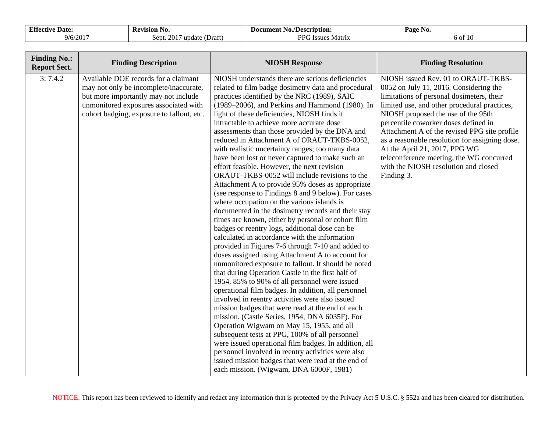| <b>Effectiv</b>        | Revision No.                                | -Document "               | Page                      |
|------------------------|---------------------------------------------|---------------------------|---------------------------|
| ve Date:               |                                             | No./Description:          | N <sub>0</sub> .          |
| Q/6/201<br>$9/0/201$ . | $\sim$<br>$D$ raft<br>update<br>Sept.<br>20 | DDC<br>Matriy<br>7 Issues | $\sim$<br>00 <sub>1</sub> |

| <b>Finding No.:</b><br><b>Report Sect.</b> | <b>Finding Description</b>                                                                                                                                                                                   | <b>NIOSH Response</b>                                                                                                                                                                                                                                                                                                                                                                                                                                                                                                                                                                                                                                                                                                                                                                                                                                                                                                                                                                                                                                                                                                                                                                                                                                                                                                                                                                                                                                                                                                                                                                                                                                                                                                                                                                        | <b>Finding Resolution</b>                                                                                                                                                                                                                                                                                                                                                                                                                                                                     |
|--------------------------------------------|--------------------------------------------------------------------------------------------------------------------------------------------------------------------------------------------------------------|----------------------------------------------------------------------------------------------------------------------------------------------------------------------------------------------------------------------------------------------------------------------------------------------------------------------------------------------------------------------------------------------------------------------------------------------------------------------------------------------------------------------------------------------------------------------------------------------------------------------------------------------------------------------------------------------------------------------------------------------------------------------------------------------------------------------------------------------------------------------------------------------------------------------------------------------------------------------------------------------------------------------------------------------------------------------------------------------------------------------------------------------------------------------------------------------------------------------------------------------------------------------------------------------------------------------------------------------------------------------------------------------------------------------------------------------------------------------------------------------------------------------------------------------------------------------------------------------------------------------------------------------------------------------------------------------------------------------------------------------------------------------------------------------|-----------------------------------------------------------------------------------------------------------------------------------------------------------------------------------------------------------------------------------------------------------------------------------------------------------------------------------------------------------------------------------------------------------------------------------------------------------------------------------------------|
| 3:7.4.2                                    | Available DOE records for a claimant<br>may not only be incomplete/inaccurate,<br>but more importantly may not include<br>unmonitored exposures associated with<br>cohort badging, exposure to fallout, etc. | NIOSH understands there are serious deficiencies<br>related to film badge dosimetry data and procedural<br>practices identified by the NRC (1989), SAIC<br>(1989–2006), and Perkins and Hammond (1980). In<br>light of these deficiencies, NIOSH finds it<br>intractable to achieve more accurate dose<br>assessments than those provided by the DNA and<br>reduced in Attachment A of ORAUT-TKBS-0052,<br>with realistic uncertainty ranges; too many data<br>have been lost or never captured to make such an<br>effort feasible. However, the next revision<br>ORAUT-TKBS-0052 will include revisions to the<br>Attachment A to provide 95% doses as appropriate<br>(see response to Findings 8 and 9 below). For cases<br>where occupation on the various islands is<br>documented in the dosimetry records and their stay<br>times are known, either by personal or cohort film<br>badges or reentry logs, additional dose can be<br>calculated in accordance with the information<br>provided in Figures 7-6 through 7-10 and added to<br>doses assigned using Attachment A to account for<br>unmonitored exposure to fallout. It should be noted<br>that during Operation Castle in the first half of<br>1954, 85% to 90% of all personnel were issued<br>operational film badges. In addition, all personnel<br>involved in reentry activities were also issued<br>mission badges that were read at the end of each<br>mission. (Castle Series, 1954, DNA 6035F). For<br>Operation Wigwam on May 15, 1955, and all<br>subsequent tests at PPG, 100% of all personnel<br>were issued operational film badges. In addition, all<br>personnel involved in reentry activities were also<br>issued mission badges that were read at the end of<br>each mission. (Wigwam, DNA 6000F, 1981) | NIOSH issued Rev. 01 to ORAUT-TKBS-<br>0052 on July 11, 2016. Considering the<br>limitations of personal dosimeters, their<br>limited use, and other procedural practices,<br>NIOSH proposed the use of the 95th<br>percentile coworker doses defined in<br>Attachment A of the revised PPG site profile<br>as a reasonable resolution for assigning dose.<br>At the April 21, 2017, PPG WG<br>teleconference meeting, the WG concurred<br>with the NIOSH resolution and closed<br>Finding 3. |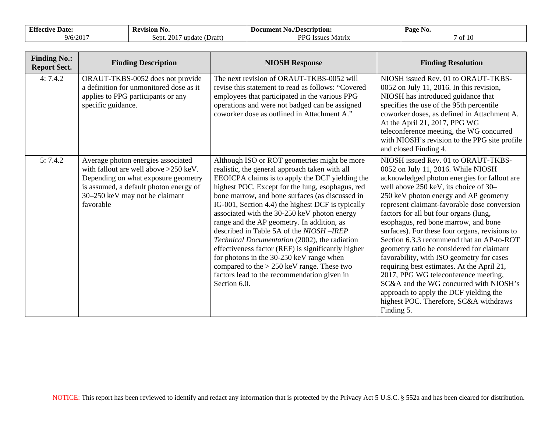| T. CO<br>. Date <sup>.</sup><br>– Effective | <b>Revision</b><br>NO.                                  | ' No./Desc<br>ecription:<br>Document | Page<br>NO. |
|---------------------------------------------|---------------------------------------------------------|--------------------------------------|-------------|
| /201'<br>$Q/\epsilon$                       | Sent.<br>(Draft<br>update<br>$\triangle$ $\blacksquare$ | DDC<br>Matrix<br><b>Issues</b>       | 10<br>° 01  |

| <b>Finding No.:</b><br><b>Report Sect.</b> | <b>Finding Description</b>                                                                                                                                                                                    | <b>NIOSH Response</b>                                                                                                                                                                                                                                                                                                                                                                                                                                                                                                                                                                                                                                                                                                    | <b>Finding Resolution</b>                                                                                                                                                                                                                                                                                                                                                                                                                                                                                                                                                                                                                                                                                                                                                |
|--------------------------------------------|---------------------------------------------------------------------------------------------------------------------------------------------------------------------------------------------------------------|--------------------------------------------------------------------------------------------------------------------------------------------------------------------------------------------------------------------------------------------------------------------------------------------------------------------------------------------------------------------------------------------------------------------------------------------------------------------------------------------------------------------------------------------------------------------------------------------------------------------------------------------------------------------------------------------------------------------------|--------------------------------------------------------------------------------------------------------------------------------------------------------------------------------------------------------------------------------------------------------------------------------------------------------------------------------------------------------------------------------------------------------------------------------------------------------------------------------------------------------------------------------------------------------------------------------------------------------------------------------------------------------------------------------------------------------------------------------------------------------------------------|
| 4:7.4.2                                    | ORAUT-TKBS-0052 does not provide<br>a definition for unmonitored dose as it<br>applies to PPG participants or any<br>specific guidance.                                                                       | The next revision of ORAUT-TKBS-0052 will<br>revise this statement to read as follows: "Covered<br>employees that participated in the various PPG<br>operations and were not badged can be assigned<br>coworker dose as outlined in Attachment A."                                                                                                                                                                                                                                                                                                                                                                                                                                                                       | NIOSH issued Rev. 01 to ORAUT-TKBS-<br>0052 on July 11, 2016. In this revision,<br>NIOSH has introduced guidance that<br>specifies the use of the 95th percentile<br>coworker doses, as defined in Attachment A.<br>At the April 21, 2017, PPG WG<br>teleconference meeting, the WG concurred<br>with NIOSH's revision to the PPG site profile<br>and closed Finding 4.                                                                                                                                                                                                                                                                                                                                                                                                  |
| 5:7.4.2                                    | Average photon energies associated<br>with fallout are well above $>250$ keV.<br>Depending on what exposure geometry<br>is assumed, a default photon energy of<br>30–250 keV may not be claimant<br>favorable | Although ISO or ROT geometries might be more<br>realistic, the general approach taken with all<br>EEOICPA claims is to apply the DCF yielding the<br>highest POC. Except for the lung, esophagus, red<br>bone marrow, and bone surfaces (as discussed in<br>IG-001, Section 4.4) the highest DCF is typically<br>associated with the 30-250 keV photon energy<br>range and the AP geometry. In addition, as<br>described in Table 5A of the NIOSH-IREP<br>Technical Documentation (2002), the radiation<br>effectiveness factor (REF) is significantly higher<br>for photons in the 30-250 keV range when<br>compared to the $> 250$ keV range. These two<br>factors lead to the recommendation given in<br>Section 6.0. | NIOSH issued Rev. 01 to ORAUT-TKBS-<br>0052 on July 11, 2016. While NIOSH<br>acknowledged photon energies for fallout are<br>well above 250 keV, its choice of 30-<br>250 keV photon energy and AP geometry<br>represent claimant-favorable dose conversion<br>factors for all but four organs (lung,<br>esophagus, red bone marrow, and bone<br>surfaces). For these four organs, revisions to<br>Section 6.3.3 recommend that an AP-to-ROT<br>geometry ratio be considered for claimant<br>favorability, with ISO geometry for cases<br>requiring best estimates. At the April 21,<br>2017, PPG WG teleconference meeting,<br>SC&A and the WG concurred with NIOSH's<br>approach to apply the DCF yielding the<br>highest POC. Therefore, SC&A withdraws<br>Finding 5. |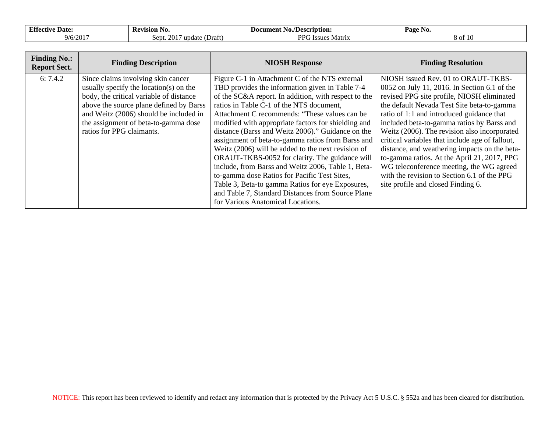| <b>Effective</b><br>Date: | -Ke<br>vision No.                                               | <b>No./Description:</b><br>Document               | Page No.  |
|---------------------------|-----------------------------------------------------------------|---------------------------------------------------|-----------|
| $9/6/201$ <sup>-</sup>    | $\sim$<br>$\sim$ 2011<br>(Draft)<br>undate<br>Sept.<br>$\angle$ | DD <sub>C</sub><br>Matrix<br>r Issues<br>$\cdots$ | 10<br>δOΓ |

| <b>Finding No.:</b><br><b>Report Sect.</b> | <b>Finding Description</b>                                                                                                                                                                                                                                                            | <b>NIOSH Response</b>                                                                                                                                                                                                                                                                                                                                                                                                                                                                                                                                                                                                                                                                                                                                                               | <b>Finding Resolution</b>                                                                                                                                                                                                                                                                                                                                                                                                                                                                                                                                                                                      |
|--------------------------------------------|---------------------------------------------------------------------------------------------------------------------------------------------------------------------------------------------------------------------------------------------------------------------------------------|-------------------------------------------------------------------------------------------------------------------------------------------------------------------------------------------------------------------------------------------------------------------------------------------------------------------------------------------------------------------------------------------------------------------------------------------------------------------------------------------------------------------------------------------------------------------------------------------------------------------------------------------------------------------------------------------------------------------------------------------------------------------------------------|----------------------------------------------------------------------------------------------------------------------------------------------------------------------------------------------------------------------------------------------------------------------------------------------------------------------------------------------------------------------------------------------------------------------------------------------------------------------------------------------------------------------------------------------------------------------------------------------------------------|
| 6:7.4.2                                    | Since claims involving skin cancer<br>usually specify the location( $s$ ) on the<br>body, the critical variable of distance<br>above the source plane defined by Barss<br>and Weitz (2006) should be included in<br>the assignment of beta-to-gamma dose<br>ratios for PPG claimants. | Figure C-1 in Attachment C of the NTS external<br>TBD provides the information given in Table 7-4<br>of the SC&A report. In addition, with respect to the<br>ratios in Table C-1 of the NTS document,<br>Attachment C recommends: "These values can be<br>modified with appropriate factors for shielding and<br>distance (Barss and Weitz 2006)." Guidance on the<br>assignment of beta-to-gamma ratios from Barss and<br>Weitz (2006) will be added to the next revision of<br>ORAUT-TKBS-0052 for clarity. The guidance will<br>include, from Barss and Weitz 2006, Table 1, Beta-<br>to-gamma dose Ratios for Pacific Test Sites,<br>Table 3, Beta-to gamma Ratios for eye Exposures,<br>and Table 7, Standard Distances from Source Plane<br>for Various Anatomical Locations. | NIOSH issued Rev. 01 to ORAUT-TKBS-<br>0052 on July 11, 2016. In Section 6.1 of the<br>revised PPG site profile, NIOSH eliminated<br>the default Nevada Test Site beta-to-gamma<br>ratio of 1:1 and introduced guidance that<br>included beta-to-gamma ratios by Barss and<br>Weitz (2006). The revision also incorporated<br>critical variables that include age of fallout,<br>distance, and weathering impacts on the beta-<br>to-gamma ratios. At the April 21, 2017, PPG<br>WG teleconference meeting, the WG agreed<br>with the revision to Section 6.1 of the PPG<br>site profile and closed Finding 6. |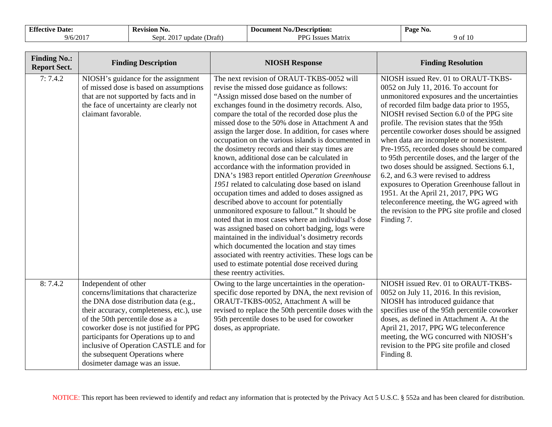| <b>17.64</b><br><b>Date</b><br>Ettectiv | <b>Revision</b><br>N0.                            | No./Description:<br>Document | Page No. |
|-----------------------------------------|---------------------------------------------------|------------------------------|----------|
| $9/6/201$ <sup>-</sup>                  | $\sim$ $\sim$<br>(Draft<br>Sept.<br>update<br>-20 | PPG<br>· Issues<br>Matrix    | Y 01     |

| <b>Finding No.:</b><br><b>Report Sect.</b> | <b>Finding Description</b>                                                                                                                                                                                                                                                                                                                                                               | <b>NIOSH Response</b>                                                                                                                                                                                                                                                                                                                                                                                                                                                                                                                                                                                                                                                                                                                                                                                                                                                                                                                                                                                                                                                                                                                                                          | <b>Finding Resolution</b>                                                                                                                                                                                                                                                                                                                                                                                                                                                                                                                                                                                                                                                                                                                                       |
|--------------------------------------------|------------------------------------------------------------------------------------------------------------------------------------------------------------------------------------------------------------------------------------------------------------------------------------------------------------------------------------------------------------------------------------------|--------------------------------------------------------------------------------------------------------------------------------------------------------------------------------------------------------------------------------------------------------------------------------------------------------------------------------------------------------------------------------------------------------------------------------------------------------------------------------------------------------------------------------------------------------------------------------------------------------------------------------------------------------------------------------------------------------------------------------------------------------------------------------------------------------------------------------------------------------------------------------------------------------------------------------------------------------------------------------------------------------------------------------------------------------------------------------------------------------------------------------------------------------------------------------|-----------------------------------------------------------------------------------------------------------------------------------------------------------------------------------------------------------------------------------------------------------------------------------------------------------------------------------------------------------------------------------------------------------------------------------------------------------------------------------------------------------------------------------------------------------------------------------------------------------------------------------------------------------------------------------------------------------------------------------------------------------------|
| 7:7.4.2                                    | NIOSH's guidance for the assignment<br>of missed dose is based on assumptions<br>that are not supported by facts and in<br>the face of uncertainty are clearly not<br>claimant favorable.                                                                                                                                                                                                | The next revision of ORAUT-TKBS-0052 will<br>revise the missed dose guidance as follows:<br>"Assign missed dose based on the number of<br>exchanges found in the dosimetry records. Also,<br>compare the total of the recorded dose plus the<br>missed dose to the 50% dose in Attachment A and<br>assign the larger dose. In addition, for cases where<br>occupation on the various islands is documented in<br>the dosimetry records and their stay times are<br>known, additional dose can be calculated in<br>accordance with the information provided in<br>DNA's 1983 report entitled Operation Greenhouse<br>1951 related to calculating dose based on island<br>occupation times and added to doses assigned as<br>described above to account for potentially<br>unmonitored exposure to fallout." It should be<br>noted that in most cases where an individual's dose<br>was assigned based on cohort badging, logs were<br>maintained in the individual's dosimetry records<br>which documented the location and stay times<br>associated with reentry activities. These logs can be<br>used to estimate potential dose received during<br>these reentry activities. | NIOSH issued Rev. 01 to ORAUT-TKBS-<br>0052 on July 11, 2016. To account for<br>unmonitored exposures and the uncertainties<br>of recorded film badge data prior to 1955,<br>NIOSH revised Section 6.0 of the PPG site<br>profile. The revision states that the 95th<br>percentile coworker doses should be assigned<br>when data are incomplete or nonexistent.<br>Pre-1955, recorded doses should be compared<br>to 95th percentile doses, and the larger of the<br>two doses should be assigned. Sections 6.1,<br>6.2, and 6.3 were revised to address<br>exposures to Operation Greenhouse fallout in<br>1951. At the April 21, 2017, PPG WG<br>teleconference meeting, the WG agreed with<br>the revision to the PPG site profile and closed<br>Finding 7. |
| 8:7.4.2                                    | Independent of other<br>concerns/limitations that characterize<br>the DNA dose distribution data (e.g.,<br>their accuracy, completeness, etc.), use<br>of the 50th percentile dose as a<br>coworker dose is not justified for PPG<br>participants for Operations up to and<br>inclusive of Operation CASTLE and for<br>the subsequent Operations where<br>dosimeter damage was an issue. | Owing to the large uncertainties in the operation-<br>specific dose reported by DNA, the next revision of<br>ORAUT-TKBS-0052, Attachment A will be<br>revised to replace the 50th percentile doses with the<br>95th percentile doses to be used for coworker<br>doses, as appropriate.                                                                                                                                                                                                                                                                                                                                                                                                                                                                                                                                                                                                                                                                                                                                                                                                                                                                                         | NIOSH issued Rev. 01 to ORAUT-TKBS-<br>0052 on July 11, 2016. In this revision,<br>NIOSH has introduced guidance that<br>specifies use of the 95th percentile coworker<br>doses, as defined in Attachment A. At the<br>April 21, 2017, PPG WG teleconference<br>meeting, the WG concurred with NIOSH's<br>revision to the PPG site profile and closed<br>Finding 8.                                                                                                                                                                                                                                                                                                                                                                                             |